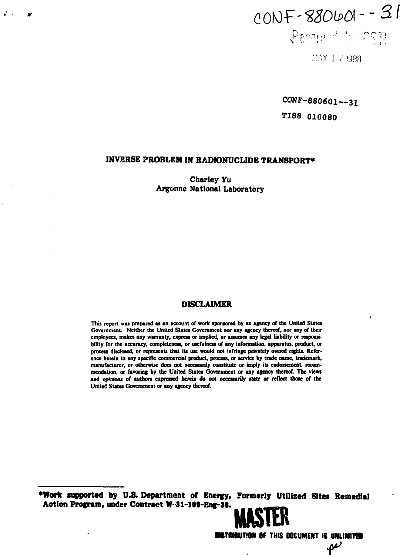# $CONF - 880001 - - 31$  $\chi^{\mu}$  & 0.01  $\mu$  = 11

**r.\*AY 1** *(* **1988**

**CONP-880601—31**

**TI88 010080**

## **INVERSE PROBLEM IN RADIONUCLIDE TRANSPORT\***

 $\mathcal{L}^{\text{max}}$ 

**Charley Yu Argonne National Laboratory**

# **DISCLAIMER**

This report was prepared as an account of work sponsored by an agency of the United States **Government. Neither the United States Government nor any agency thereof, nor any of their employees, makes any warranty, express or implied, or assumes any legal liability or responsibility for the accuracy, completeness, or usefulness of any information, apparatus, product, or process disclosed, or represents that its use would not infringe privately owned rights. Reference herein to any specific commercial product, process, or service by trade name, trademark, manufacturer, or otherwise does not necessarily constitute or imply its endorsement, recommendation, or favoring by the United States Government or any agency thereof. The views and opinions of authors expressed herein do not necessarily state or reflect those of the United States Government or any agency thereof.**

**•Work supported by U.S. Department of Energy, Formerly Utilized Sites Remedial Action Program, under Contract W-31-109-Eng-38.** 

**MTWWT'OK Of THIS OOCUMENT IS UKLIM1T9**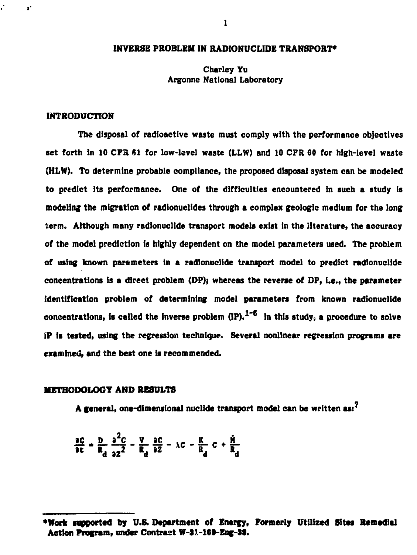# **INVERSE PROBLEM IN RADIONUCLIDE TRANSPORT\***

# **Charley Yu Argonne National Laboratory**

## **INTRODUCTION**

 $\mathbf{r}^*$ 

**The disposal of radioactive waste must comply with the performance objectives set forth in 10 CFR 61 for low-level waste (LLW) and 10 CFR 60 for high-level waste (HLW). To determine probable compliance, the proposed disposal system can be modeled to predict its performance. One of the difficulties encountered in such a study is modeling the migration of radionuclides through a complex geologic medium for the long term. Although many radionuclide transport models exist in the literature, the accuracy of the model prediction is highly dependent on the model parameters used. The problem of using known parameters in a radionuclide transport model to predict radionuclide concentrations is a direct problem (DP)} whereas the reverse of DP, i.e., the parameter identification problem of determining model parameters from known radionuclide concentrations, is called the inverse problem (IP). In this study, a procedure to solve IP is tested, using the regression technique. Several nonlinear regression programs are examined, and the best one is recommended.**

## **METHODOLOGY AND RESULTS**

**A general, one-dimensional nuclide transport model can be written asi\***

$$
\frac{\partial C}{\partial c} = \frac{D}{R_d} \frac{\partial^2 C}{\partial z^2} - \frac{V}{R_d} \frac{\partial C}{\partial z} - \lambda C - \frac{K}{R_d} C + \frac{\dot{H}}{R_d}
$$

**<sup>•</sup>Work supported by U.S. Department of Energy, Formerly Utilized Sites Remedial** Action Program, under Contract W-31-109-Eng-38.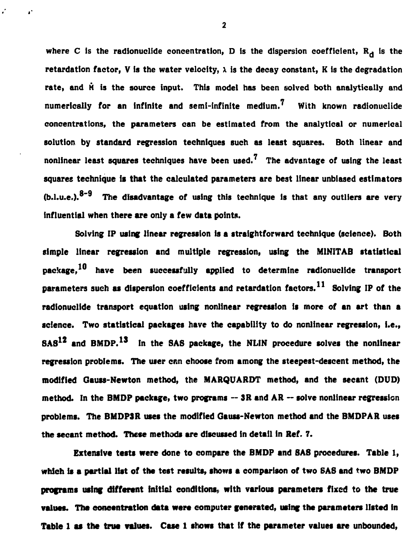where C is the radionuclide concentration, D is the dispersion coefficient,  $R_d$  is the retardation factor, V is the water velocity,  $\lambda$  is the decay constant, K is the degradation rate, and M is the source input. This model has been solved both analytically and **numerically for an infinite and semi-infinite medium.<sup>7</sup> With known radionuclide concentrations, the parameters can be estimated from the analytical or numerical solution by standard regression techniques such as least squares. Both linear and nonlinear least squares techniques have been used. The advantage of using the least squares technique is that the calculated parameters are best linear unbiased estimators (b.l.u.e,). The disadvantage of using this technique is that any outliers are very influential when there are only a few data points.**

**Solving IP using linear regression is a straightforward technique (science). Both simple linear regression and multiple regression, using the MINITAB statistical** package,<sup>10</sup> have been successfully applied to determine radionuclide transport parameters such as dispersion coefficients and retardation factors.<sup>11</sup> Solving IP of the **radionuclide transport equation using nonlinear regression is more of an art than a science. Two statistical packages have the capability to do nonlinear regression, i.e., SA8<sup>12</sup> and BMDP.<sup>1</sup> \* In the SAS package, the NLIN procedure solves the nonlinear regression problems. The user cnn choose from among the steepest-descent method, the modified Gauss-Newton method, the MARQUARDT method, and the secant (DUD) method. In the BMDP package, two programs — 3R and AR — solve nonlinear regression problems. The BMDP3R uses the modified Gauss-Newton method and the BMDPAR uses the secant method. These methods are discussed in detail in Ref. 7.**

**Extensive tests were done to compare the BMDP and SAS procedures. Table 1, which is a partial list of the test results, shows a comparison of two SAS and two BMDP** programs using different initial conditions, with various parameters fixed to the true **values. The concentration data were computer generated, using the parameters listed in Table 1 as the true values. Case 1 shows that tf the parameter values are unbounded,**

 $\mathbf{2}$ 

r.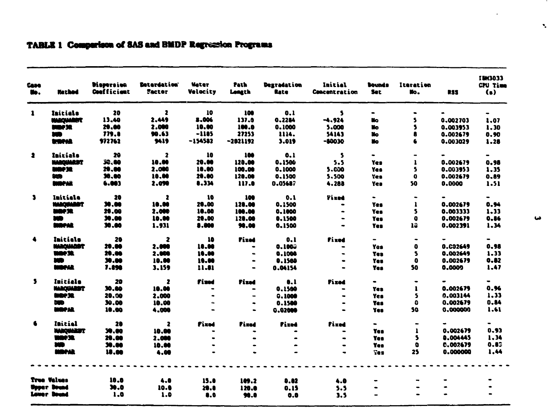| Case<br>u.   | <b>Hechod</b>              | <b>Dispersion</b><br>Coefficient | <b>Betardation</b><br><b>Factor</b> | Mater<br>Velocity | Path<br>Longth | Degradation<br><b>Rate</b> | Initial<br><b>Concentration</b> | Sounds<br><b>Set</b> | Itaration<br>No.  | <b>RSS</b>      | I BN3033<br>CPU Time<br>$\left( \bullet \right)$ |
|--------------|----------------------------|----------------------------------|-------------------------------------|-------------------|----------------|----------------------------|---------------------------------|----------------------|-------------------|-----------------|--------------------------------------------------|
| $\mathbf{1}$ | Initials                   | 20                               | $\mathbf{z}$                        | 10                | 100            | 0.1                        | s                               | $\blacksquare$       | $\bullet$         |                 |                                                  |
|              | <b>MARQUARET</b>           | 13.40                            | 2.449                               | 8.006             | 137.0          | 0.2284                     | $-4.924$                        | Nо                   | 5                 | 0.002703        | 1.07                                             |
|              | marka                      | 20.00                            | 2.000                               | 10.00             | 100.0          | 0.1000                     | 5.000                           | Ħ٥                   | \$                | 0.003953        | 1.30                                             |
|              | ND.                        | 779.8                            | 90.63                               | $-1105$           | 27253          | 1114.                      | 54143                           | Nо                   | 8                 | 0.002679        | 0.90                                             |
|              | <b><i><u>WORKS</u></i></b> | 972762                           | 9419                                | $-154532$         | $-2021192$     | 3.019                      | $-10030$                        | No.                  |                   | 0.003029        | 1.28                                             |
| $\bullet$    | Initials                   | 20                               | $\overline{\mathbf{z}}$             | 10                | 100            | 0.1                        | $\overline{\mathbf{S}}$         | $\bullet$            |                   |                 | $\blacksquare$                                   |
|              | <b>MARQUARDT</b>           | 33.60                            | 10.00                               | 20.00             | 120.00         | 0.1506                     | 5.5                             | Yes.                 | $\mathbf{I}$      | 0.002679        | 0.98                                             |
|              | <b>MOPSE</b>               | 20.00                            | 2.000                               | 10.00             | 100.00         | 0.1000                     | 5.000                           | Yes                  | 5                 | 0.003953        | 1.35                                             |
|              | SCD.                       | 30.00                            | 10.00                               | 20.00             | 120.00         | 0.1500                     | 5.500                           | Yes                  | o                 | 0,002679        | 0.89                                             |
|              | <b>MAPAR</b>               | 6.003                            | 2.090                               | 8.334             | 117.0          | 0.05687                    | 4.288                           | Yes                  | 50                | 0.0000          | 1.51                                             |
| $\mathbf{3}$ | Initiala                   | 20                               | -2                                  | 10                | 100            | 0.1                        | <b>Fixed</b>                    | $\blacksquare$       | $\blacksquare$    |                 | $\blacksquare$                                   |
|              | <b>NABOUARDT</b>           | 30.00                            | 18.00                               | 28.00             | 128.00         | 0.1500                     | $\bullet$                       | Yas                  | 1                 | 0.002679        | 0.94                                             |
|              | mae se                     | 28.00                            | 2.000                               | 10.00             | 100.00         | 0.1000                     |                                 | Yes                  | S                 | 0.003333        | 1.33                                             |
|              | m                          | 30.00                            | 10.00                               | 20.00             | 128.00         | 0.1500                     | $\bullet$                       | Yes.                 | $\bullet$         | 0.002679        | 0.86                                             |
|              | <b>MOPAR</b>               | 30.00                            | 1.931                               | 8.000             | 90.00          | 0.1500                     |                                 | Yes.                 | 13                | 0.002391        | 1.34                                             |
| $\bullet$    | Initiala                   | 20                               | $\mathbf{z}$                        | 10                | Fixed          | 0.1                        | Fixed                           | $\blacksquare$       | $\hbox{\small -}$ |                 |                                                  |
|              | <b>MARQUARDT</b>           | 20.00                            | 2.000                               | 18.00             |                | 0.1003                     |                                 | Yes                  | $\bullet$         | <b>0.C02649</b> | 0.98                                             |
|              | <b>MOF3R</b>               | 28.88                            | 2.000                               | 10.00             | $\bullet$      | 0.1008                     | $\blacksquare$                  | <b>Tes</b>           | 5                 | 0.002649        | 1.33                                             |
|              | m                          | 30.00                            | 10.00                               | 10.00             |                | 0.1560                     | $\qquad \qquad \bullet$         | Yes:                 | $\bullet$         | 0.002679        | 0.82                                             |
|              | <b>BIRPAR</b>              | 7.890                            | 3.159                               | 11.81             |                | 0.04154                    |                                 | Yes:                 | 50                | 0.0009          | 1.47                                             |
| 5            | Initiala                   | 20                               | 2                                   | Fized             | Fized          | 0.1                        | Fixad                           | $\bullet$            | $\bullet$         |                 | ۰                                                |
|              | NAROUARDT                  | 30.60                            | 18.00                               |                   |                | 0.1500                     |                                 | Ye z                 | 1                 | 0.002679        | 0.96                                             |
|              | <b>MOPSE</b>               | 20.00                            | 2.000                               | $\bullet$         | $\bullet$      | 0.1000                     | $\bullet$                       | Yes                  | 5                 | 0.003144        | 1.33                                             |
|              | <b>DWD</b>                 | 30.00                            | 10.00                               | $\sim$            | $\bullet$      | 0.1500                     | $\bullet$                       | <b>Yes</b>           | ۵                 | 0.002679        | 0.84                                             |
|              | <b>MOPAR</b>               | 10.00                            | 4.000                               |                   |                | 0.02000                    |                                 | Yes                  | 50                | 0.000000        | 1.61                                             |
| 6            | Initial                    | 28                               | $\overline{\mathbf{a}}$             | Fixed             | Fixed          | Fixed                      | fixed                           | $\blacksquare$       | $\blacksquare$    |                 | $\blacksquare$                                   |
|              | <b>WARQUARDT</b>           | 39.00                            | 10.00                               |                   |                |                            |                                 | Yes                  | $\mathbf{1}$      | 0.002679        | 0.93                                             |
|              | <b>WORSE</b>               | 20.00                            | 2.000                               |                   |                |                            | $\bullet$                       | Yes                  | s                 | 0.004445        | 1.34                                             |
|              | xo                         | 30.00                            | 10.00                               | $\bullet$         |                |                            |                                 | Yes                  | O                 | 0.002679        | 0.83                                             |
|              | <b>MOPAR</b>               | 18.00                            | 4.00                                |                   |                |                            |                                 | <b>Tes</b>           | 25                | 0.000000        | 1,44                                             |
|              |                            |                                  |                                     |                   |                |                            |                                 |                      |                   |                 |                                                  |
|              | True Values                | 10.0                             | 4.0                                 | 15.0              | 109.2          | 0.82                       | 4.0                             |                      |                   |                 |                                                  |
|              | Unner Douad                | 30.0                             | 10.0                                | 20.0              | 120.0          | 0.15                       | 5.5                             |                      |                   | $\bullet$       |                                                  |
|              | <b>Lover Douad</b>         | 1.0                              | 1.0                                 | 0.0               | 90.0           | 0.0                        | 3.5                             |                      |                   |                 |                                                  |

 $\mathbf{v}_i$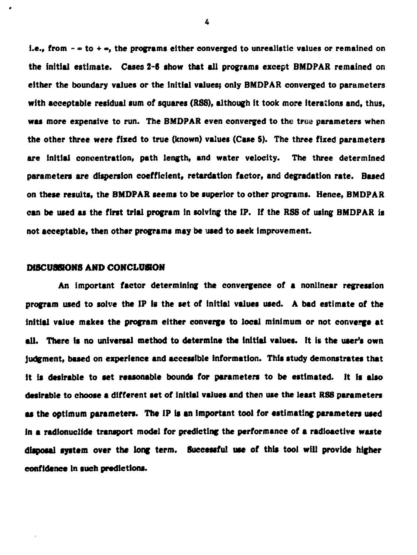**i.e., from -**  $\infty$  **to +**  $\infty$ **, the programs either converged to unrealistic values or remained on the initial estimate. Cases 2-6 show that all programs except BMDPAR remained on either the boundary values or the initial values? only BMDPAR converged to parameters with acceptable residual sum of squares (RSS), although it took more iterations and, thus, was more expensive to run. The BMDPAR even converged to the trua parameters when the other three were fixed to true (known) values (Case 5). The three fixed parameters are Initial concentration, path length, and water velocity. The three determined parameters are dispersion coefficient, retardation factor, and degradation rate. Based on these results, the BMDPAR seems to be superior to other programs. Hence, BMDPAR can be used as the first trial program in solving the IP. If the RSS of using BMDPAR is not acceptable, then other programs may be used to seek improvement.**

### **DISCUSSIONS AND CONCLUSION**

**An important factor determining the convergence of a nonlinear regression program used to solve the IP is the set of initial values used. A bad estimate of the initial value makes the program either converge to local minimum or not converge at all. There is no universal method to determine the initial values. It it the user's own Judgment, based on experience and accessible information. This study demonstrates that it is desirable to set reasonable bounds for parameters to be estimated. It is also desirable to choose a different set of initial values and then use the least RSS parameters as the optimum parameters. The IP it an Important tool for estimating parameters used in a radionuclide transport model for predicting the performance of a radioactive waste disposal system over the long term. Successful use of this tool will provide higher confidence in such predictions.**

4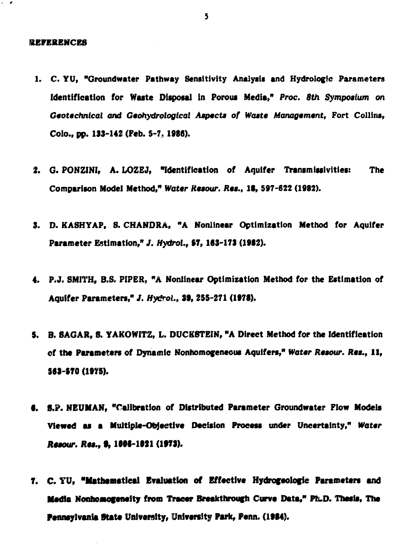#### **REFERENCES**

- **1. C. YU, "Groundwater Pathway Sensitivity Analysis and Hydrologic Parameters Identification for Waste Disposal in Porous Media,"** *Proc. 8th Symposium on Geotechnical and Geohydrologlcal Aspects of Waste Management,* **Fort Collins, Colo., pp. 133-142 (Feb. 5-7, 1986).**
- **2. G. PONZINI, A. LOZEJ, "Identification of Aquifer Transmissivities: The Comparison Model Method,"** *Water Resour. Res.,* **It, 597-622 (1982).**
- **3. D. KASHYAP, S. CHANDRA, "A Nonlinear Optimization Method for Aquifer Parameter Estimation,"** *J.* **Hydro!., 17,163-173 (1962).**
- **4. P.J. SMITH, B.S. PIPER, "A Nonlinear Optimization Method for the Estimation of Aquifer Parameters,"** *J. Hydrol.,* **39, 255-271 (1978).**
- **5. B. SAGAR, 8. YAKOWITZ, L. DUCKSTEIN, "A Direct Method for the Identification of the Parameters of Dynamic Nonhomogeneous Aquifers,"** *Water Resour. Res.,* **11, S63-S70 (1975).**
- **6. 8.P. NEUMAN, "Calibration of Distributed Parameter Groundwater Flow Models Viewed as a Multiple-Objective Decision Process under Uncertainty,"** *Water Resour. Res.,* **9, 1996-1021 (1973).**
- **7. C. YU, "Mathematical Evaluation of Effective Hydrofeologic Parameters and Media Nonhomogeneity from Tracer Breakthrough Curve Data," Ph.D. Thesis, The Pennsylvania State University, University Park, Penn. (1994).**